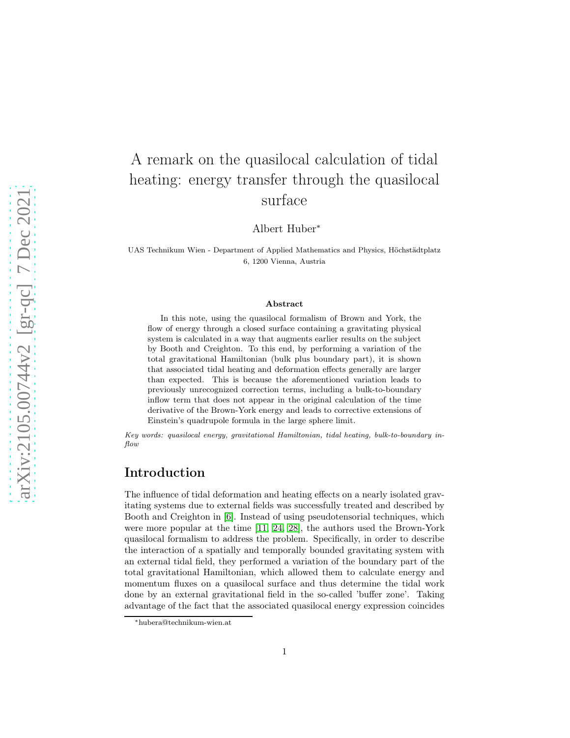# A remark on the quasilocal calculation of tidal heating: energy transfer through the quasilocal surface

Albert Huber<sup>∗</sup>

UAS Technikum Wien - Department of Applied Mathematics and Physics, Höchstädtplatz 6, 1200 Vienna, Austria

#### Abstract

In this note, using the quasilocal formalism of Brown and York, the flow of energy through a closed surface containing a gravitating physical system is calculated in a way that augments earlier results on the subject by Booth and Creighton. To this end, by performing a variation of the total gravitational Hamiltonian (bulk plus boundary part), it is shown that associated tidal heating and deformation effects generally are larger than expected. This is because the aforementioned variation leads to previously unrecognized correction terms, including a bulk-to-boundary inflow term that does not appear in the original calculation of the time derivative of the Brown-York energy and leads to corrective extensions of Einstein's quadrupole formula in the large sphere limit.

Key words: quasilocal energy, gravitational Hamiltonian, tidal heating, bulk-to-boundary inflow

## Introduction

The influence of tidal deformation and heating effects on a nearly isolated gravitating systems due to external fields was successfully treated and described by Booth and Creighton in [\[6\]](#page-17-0). Instead of using pseudotensorial techniques, which were more popular at the time [\[11,](#page-17-1) [24,](#page-18-0) [28\]](#page-19-0), the authors used the Brown-York quasilocal formalism to address the problem. Specifically, in order to describe the interaction of a spatially and temporally bounded gravitating system with an external tidal field, they performed a variation of the boundary part of the total gravitational Hamiltonian, which allowed them to calculate energy and momentum fluxes on a quasilocal surface and thus determine the tidal work done by an external gravitational field in the so-called 'buffer zone'. Taking advantage of the fact that the associated quasilocal energy expression coincides

<sup>∗</sup>hubera@technikum-wien.at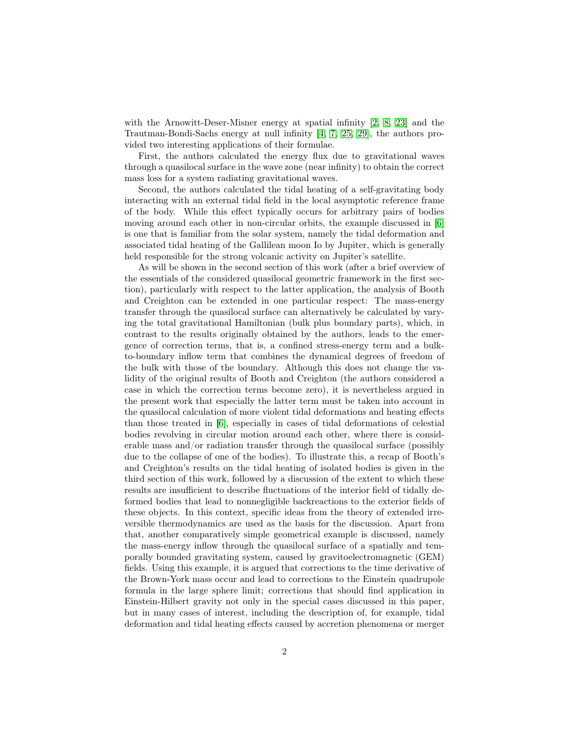with the Arnowitt-Deser-Misner energy at spatial infinity [\[2,](#page-17-2) [8,](#page-17-3) [23\]](#page-18-1) and the Trautman-Bondi-Sachs energy at null infinity [\[4,](#page-17-4) [7,](#page-17-5) [25,](#page-18-2) [29\]](#page-19-1), the authors provided two interesting applications of their formulae.

First, the authors calculated the energy flux due to gravitational waves through a quasilocal surface in the wave zone (near infinity) to obtain the correct mass loss for a system radiating gravitational waves.

Second, the authors calculated the tidal heating of a self-gravitating body interacting with an external tidal field in the local asymptotic reference frame of the body. While this effect typically occurs for arbitrary pairs of bodies moving around each other in non-circular orbits, the example discussed in [\[6\]](#page-17-0) is one that is familiar from the solar system, namely the tidal deformation and associated tidal heating of the Gallilean moon Io by Jupiter, which is generally held responsible for the strong volcanic activity on Jupiter's satellite.

As will be shown in the second section of this work (after a brief overview of the essentials of the considered quasilocal geometric framework in the first section), particularly with respect to the latter application, the analysis of Booth and Creighton can be extended in one particular respect: The mass-energy transfer through the quasilocal surface can alternatively be calculated by varying the total gravitational Hamiltonian (bulk plus boundary parts), which, in contrast to the results originally obtained by the authors, leads to the emergence of correction terms, that is, a confined stress-energy term and a bulkto-boundary inflow term that combines the dynamical degrees of freedom of the bulk with those of the boundary. Although this does not change the validity of the original results of Booth and Creighton (the authors considered a case in which the correction terms become zero), it is nevertheless argued in the present work that especially the latter term must be taken into account in the quasilocal calculation of more violent tidal deformations and heating effects than those treated in [\[6\]](#page-17-0), especially in cases of tidal deformations of celestial bodies revolving in circular motion around each other, where there is considerable mass and/or radiation transfer through the quasilocal surface (possibly due to the collapse of one of the bodies). To illustrate this, a recap of Booth's and Creighton's results on the tidal heating of isolated bodies is given in the third section of this work, followed by a discussion of the extent to which these results are insufficient to describe fluctuations of the interior field of tidally deformed bodies that lead to nonnegligible backreactions to the exterior fields of these objects. In this context, specific ideas from the theory of extended irreversible thermodynamics are used as the basis for the discussion. Apart from that, another comparatively simple geometrical example is discussed, namely the mass-energy inflow through the quasilocal surface of a spatially and temporally bounded gravitating system, caused by gravitoelectromagnetic (GEM) fields. Using this example, it is argued that corrections to the time derivative of the Brown-York mass occur and lead to corrections to the Einstein quadrupole formula in the large sphere limit; corrections that should find application in Einstein-Hilbert gravity not only in the special cases discussed in this paper, but in many cases of interest, including the description of, for example, tidal deformation and tidal heating effects caused by accretion phenomena or merger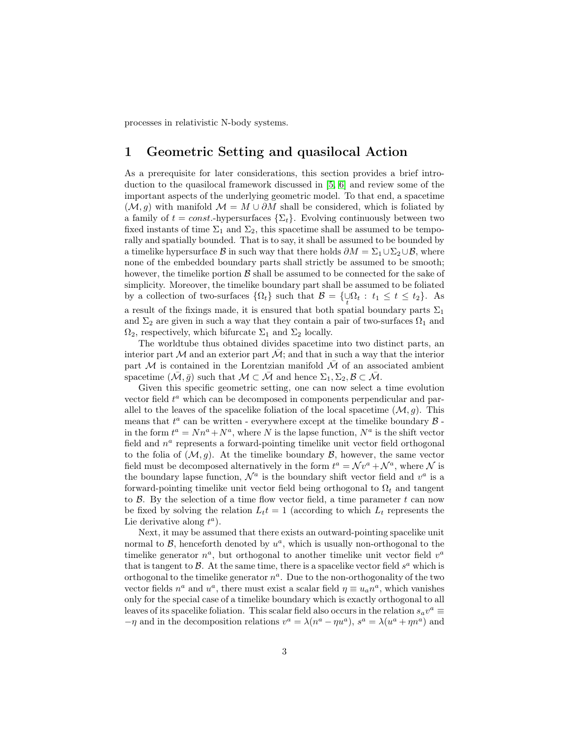processes in relativistic N-body systems.

### 1 Geometric Setting and quasilocal Action

As a prerequisite for later considerations, this section provides a brief introduction to the quasilocal framework discussed in [\[5,](#page-17-6) [6\]](#page-17-0) and review some of the important aspects of the underlying geometric model. To that end, a spacetime  $(\mathcal{M}, g)$  with manifold  $\mathcal{M} = M \cup \partial M$  shall be considered, which is foliated by a family of  $t = const.$ -hypersurfaces  $\{\Sigma_t\}$ . Evolving continuously between two fixed instants of time  $\Sigma_1$  and  $\Sigma_2$ , this spacetime shall be assumed to be temporally and spatially bounded. That is to say, it shall be assumed to be bounded by a timelike hypersurface  $\mathcal B$  in such way that there holds  $\partial M = \Sigma_1 \cup \Sigma_2 \cup \mathcal B$ , where none of the embedded boundary parts shall strictly be assumed to be smooth; however, the timelike portion  $\beta$  shall be assumed to be connected for the sake of simplicity. Moreover, the timelike boundary part shall be assumed to be foliated by a collection of two-surfaces  $\{\Omega_t\}$  such that  $\mathcal{B} = \{\bigcup_t \Omega_t : t_1 \le t \le t_2\}$ . As a result of the fixings made, it is ensured that both spatial boundary parts  $\Sigma_1$ and  $\Sigma_2$  are given in such a way that they contain a pair of two-surfaces  $\Omega_1$  and  $\Omega_2$ , respectively, which bifurcate  $\Sigma_1$  and  $\Sigma_2$  locally.

The worldtube thus obtained divides spacetime into two distinct parts, an interior part  $M$  and an exterior part  $M$ ; and that in such a way that the interior part  $M$  is contained in the Lorentzian manifold  $M$  of an associated ambient spacetime  $(\mathcal{M}, \bar{g})$  such that  $\mathcal{M} \subset \mathcal{M}$  and hence  $\Sigma_1, \Sigma_2, \mathcal{B} \subset \mathcal{M}$ .

Given this specific geometric setting, one can now select a time evolution vector field  $t^a$  which can be decomposed in components perpendicular and parallel to the leaves of the spacelike foliation of the local spacetime  $(\mathcal{M}, g)$ . This means that  $t^a$  can be written - everywhere except at the timelike boundary  $\beta$  in the form  $t^a = Nn^a + N^a$ , where N is the lapse function,  $N^a$  is the shift vector field and  $n^a$  represents a forward-pointing timelike unit vector field orthogonal to the folia of  $(M, g)$ . At the timelike boundary  $\mathcal{B}$ , however, the same vector field must be decomposed alternatively in the form  $t^a = \mathcal{N}v^a + \mathcal{N}^a$ , where  $\mathcal N$  is the boundary lapse function,  $\mathcal{N}^a$  is the boundary shift vector field and  $v^a$  is a forward-pointing timelike unit vector field being orthogonal to  $\Omega_t$  and tangent to  $\beta$ . By the selection of a time flow vector field, a time parameter t can now be fixed by solving the relation  $L_t t = 1$  (according to which  $L_t$  represents the Lie derivative along  $t^a$ ).

Next, it may be assumed that there exists an outward-pointing spacelike unit normal to  $\mathcal{B}$ , henceforth denoted by  $u^a$ , which is usually non-orthogonal to the timelike generator  $n^a$ , but orthogonal to another timelike unit vector field  $v^a$ that is tangent to  $\mathcal{B}$ . At the same time, there is a spacelike vector field  $s^a$  which is orthogonal to the timelike generator  $n^a$ . Due to the non-orthogonality of the two vector fields  $n^a$  and  $u^a$ , there must exist a scalar field  $\eta \equiv u_a n^a$ , which vanishes only for the special case of a timelike boundary which is exactly orthogonal to all leaves of its spacelike foliation. This scalar field also occurs in the relation  $s_a v^a \equiv$  $-\eta$  and in the decomposition relations  $v^a = \lambda (n^a - \eta u^a)$ ,  $s^a = \lambda (u^a + \eta n^a)$  and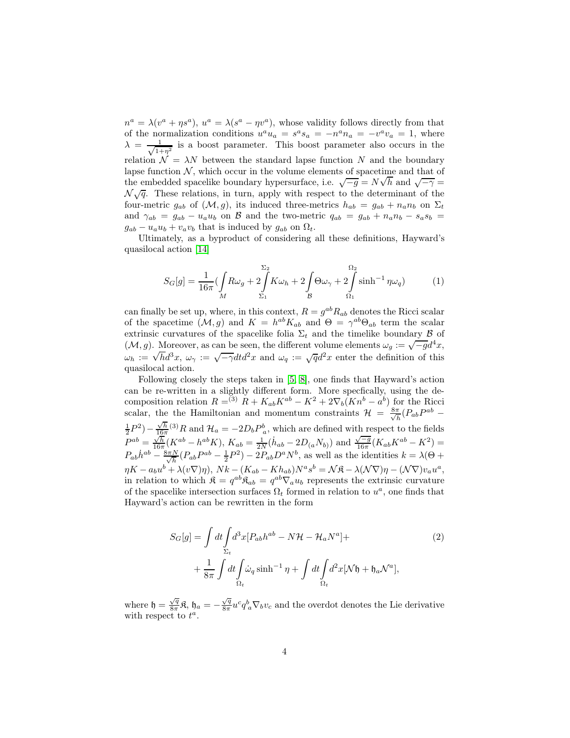$n^a = \lambda (v^a + \eta s^a)$ ,  $u^a = \lambda (s^a - \eta v^a)$ , whose validity follows directly from that of the normalization conditions  $u^a u_a = s^a s_a = -n^a n_a = -v^a v_a = 1$ , where  $\lambda = \frac{1}{\sqrt{1}}$  $\frac{1}{1+\eta^2}$  is a boost parameter. This boost parameter also occurs in the relation  $\mathcal{N} = \lambda N$  between the standard lapse function N and the boundary lapse function  $N$ , which occur in the volume elements of spacetime and that of the embedded spacelike boundary hypersurface, i.e.  $\sqrt{-g} = N\sqrt{h}$  and  $\sqrt{-\gamma} =$  $\mathcal{N}\sqrt{q}$ . These relations, in turn, apply with respect to the determinant of the four-metric  $g_{ab}$  of  $(\mathcal{M}, g)$ , its induced three-metrics  $h_{ab} = g_{ab} + n_a n_b$  on  $\Sigma_t$ and  $\gamma_{ab} = g_{ab} - u_a u_b$  on B and the two-metric  $q_{ab} = g_{ab} + n_a n_b - s_a s_b$  $g_{ab} - u_a u_b + v_a v_b$  that is induced by  $g_{ab}$  on  $\Omega_t$ .

Ultimately, as a byproduct of considering all these definitions, Hayward's quasilocal action [\[14\]](#page-18-3)

$$
S_G[g] = \frac{1}{16\pi} \left( \int_M R\omega_g + 2 \int_{\Sigma_1} \overline{K}\omega_h + 2 \int_{\mathcal{B}} \Theta \omega_\gamma + 2 \int_{\Omega_1} \sinh^{-1} \eta \omega_q \right) \tag{1}
$$

can finally be set up, where, in this context,  $R = g^{ab} R_{ab}$  denotes the Ricci scalar of the spacetime  $(M, g)$  and  $K = h^{ab} K_{ab}$  and  $\Theta = \gamma^{ab} \Theta_{ab}$  term the scalar extrinsic curvatures of the spacelike folia  $\Sigma_t$  and the timelike boundary  $\beta$  of  $(\mathcal{M}, g)$ . Moreover, as can be seen, the different volume elements  $\omega_g := \sqrt{-g}d^4x$ ,  $\omega_h := \sqrt{h}d^3x$ ,  $\omega_\gamma := \sqrt{-\gamma}dt d^2x$  and  $\omega_q := \sqrt{q}d^2x$  enter the definition of this quasilocal action.

Following closely the steps taken in [\[5,](#page-17-6) [8\]](#page-17-3), one finds that Hayward's action can be re-written in a slightly different form. More specfically, using the decomposition relation  $R = (3) R + K_{ab} K^{ab} - K^2 + 2 \nabla_b (Kn^b - a^b)$  for the Ricci scalar, the the Hamiltonian and momentum constraints  $\mathcal{H} = \frac{8\pi}{\sqrt{h}}$  $\frac{\pi}{h}(P_{ab}P^{ab} \frac{1}{2}P^2$ ) –  $\frac{\sqrt{h}}{16\pi}$  (3) R and  $\mathcal{H}_a = -2D_b P_a^b$ , which are defined with respect to the fields  $P^{ab} = \frac{\sqrt{h}}{16\pi} (K^{ab} - h^{ab} K), K_{ab} = \frac{1}{2N} (\dot{h}_{ab} - 2D_{(a} N_{b)})$  and  $\frac{\sqrt{-g}}{16\pi} (K_{ab} K^{ab} - K^2) =$  $P_{ab}\dot{h}^{ab} - \frac{8\pi N}{\sqrt{h}}$  $\frac{N}{h}(P_{ab}P^{ab}-\frac{1}{2}P^2)-2P_{ab}D^aN^b$ , as well as the identities  $k=\lambda(\Theta+\frac{1}{2}P^a)$  $\eta K - a_b u^b + \lambda (v \nabla) \eta$ ,  $Nk - (K_{ab} - Kh_{ab})N^a s^b = \mathcal{N} \mathfrak{K} - \lambda (\mathcal{N} \nabla) \eta - (\mathcal{N} \nabla) v_a u^a$ , in relation to which  $\mathfrak{K} = q^{ab} \mathfrak{K}_{ab} = q^{ab} \nabla_a u_b$  represents the extrinsic curvature of the spacelike intersection surfaces  $\Omega_t$  formed in relation to  $u^a$ , one finds that Hayward's action can be rewritten in the form

$$
S_G[g] = \int dt \int_{\Sigma_t} d^3x [P_{ab}h^{ab} - N\mathcal{H} - \mathcal{H}_a N^a] +
$$
  
+ 
$$
\frac{1}{8\pi} \int dt \int_{\Omega_t} \dot{\omega}_q \sinh^{-1} \eta + \int dt \int_{\Omega_t} d^2x [\mathcal{N}\mathfrak{h} + \mathfrak{h}_a \mathcal{N}^a],
$$
 (2)

where  $\mathfrak{h} = \frac{\sqrt{q}}{8\pi}$  $\frac{\sqrt{q}}{8\pi}$ R,  $\mathfrak{h}_a = -\frac{\sqrt{q}}{8\pi}$  $\frac{\sqrt{q}}{8\pi}u^{c}q_{a}^{b}\nabla_{b}v_{c}$  and the overdot denotes the Lie derivative with respect to  $t^a$ .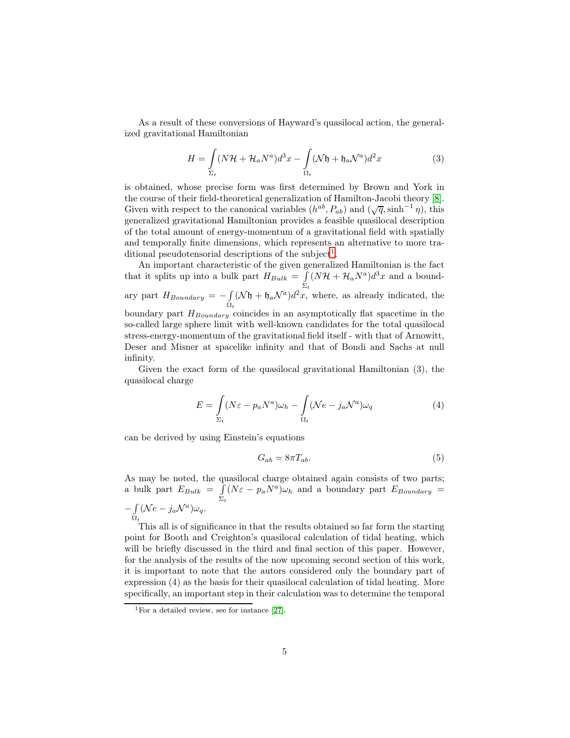As a result of these conversions of Hayward's quasilocal action, the generalized gravitational Hamiltonian

$$
H = \int_{\Sigma_t} (N\mathcal{H} + \mathcal{H}_a N^a) d^3x - \int_{\Omega_t} (\mathcal{N}\mathfrak{h} + \mathfrak{h}_a \mathcal{N}^a) d^2x \tag{3}
$$

is obtained, whose precise form was first determined by Brown and York in the course of their field-theoretical generalization of Hamilton-Jacobi theory [\[8\]](#page-17-3). Given with respect to the canonical variables  $(h^{ab}, P_{ab})$  and  $(\sqrt{q}, \sinh^{-1}\eta)$ , this generalized gravitational Hamiltonian provides a feasible quasilocal description of the total amount of energy-momentum of a gravitational field with spatially and temporally finite dimensions, which represents an alternative to more tra-ditional pseudotensorial descriptions of the subject<sup>[1](#page-4-0)</sup>.

An important characteristic of the given generalized Hamiltonian is the fact that it splits up into a bulk part  $H_{Bulk} = \int$  $\int_{\Sigma_t} (N\mathcal{H} + \mathcal{H}_a N^a) d^3x$  and a boundary part  $H_{Boundary} = -\int$  $\int_{\Omega_t} (\mathcal{N} \mathfrak{h} + \mathfrak{h}_a \mathcal{N}^a) d^2x$ , where, as already indicated, the boundary part  $H_{Boundary}$  coincides in an asymptotically flat spacetime in the so-called large sphere limit with well-known candidates for the total quasilocal stress-energy-momentum of the gravitational field itself - with that of Arnowitt, Deser and Misner at spacelike infinity and that of Bondi and Sachs at null infinity.

Given the exact form of the quasilocal gravitational Hamiltonian (3), the quasilocal charge

$$
E = \int_{\Sigma_t} (N\varepsilon - p_a N^a) \omega_h - \int_{\Omega_t} (N e - j_a N^a) \omega_q \tag{4}
$$

can be derived by using Einstein's equations

$$
G_{ab} = 8\pi T_{ab}.\tag{5}
$$

As may be noted, the quasilocal charge obtained again consists of two parts; a bulk part  $E_{Bulk} = \int$  $\int_{\Sigma_t} (N\varepsilon - p_a N^a) \omega_h$  and a boundary part  $E_{Boundary}$  =  $-\int$  $\int_{\Omega_t} (\mathcal{N}e - j_a \mathcal{N}^a) \omega_q.$ 

This all is of significance in that the results obtained so far form the starting point for Booth and Creighton's quasilocal calculation of tidal heating, which will be briefly discussed in the third and final section of this paper. However, for the analysis of the results of the now upcoming second section of this work, it is important to note that the autors considered only the boundary part of expression (4) as the basis for their quasilocal calculation of tidal heating. More specifically, an important step in their calculation was to determine the temporal

<span id="page-4-0"></span><sup>&</sup>lt;sup>1</sup>For a detailed review, see for instance  $[27]$ .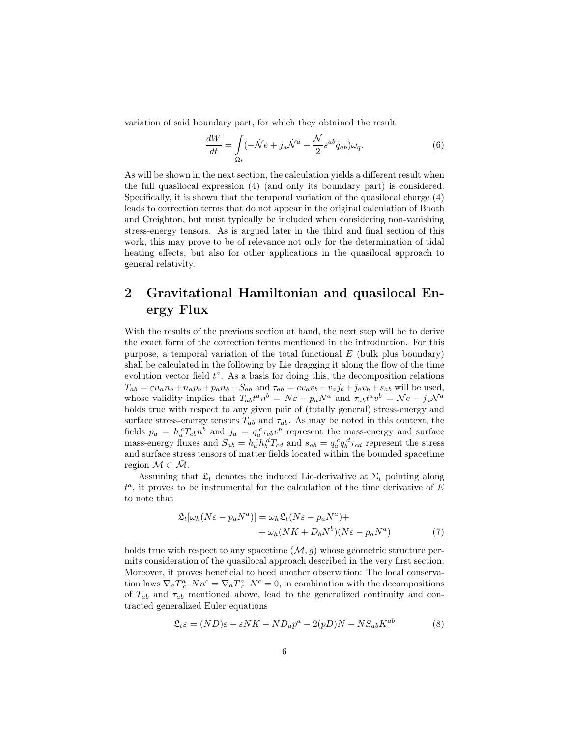variation of said boundary part, for which they obtained the result

$$
\frac{dW}{dt} = \int_{\Omega_t} (-\dot{\mathcal{N}}e + j_a \dot{\mathcal{N}}^a + \frac{\mathcal{N}}{2} s^{ab} \dot{q}_{ab}) \omega_q.
$$
 (6)

As will be shown in the next section, the calculation yields a different result when the full quasilocal expression (4) (and only its boundary part) is considered. Specifically, it is shown that the temporal variation of the quasilocal charge (4) leads to correction terms that do not appear in the original calculation of Booth and Creighton, but must typically be included when considering non-vanishing stress-energy tensors. As is argued later in the third and final section of this work, this may prove to be of relevance not only for the determination of tidal heating effects, but also for other applications in the quasilocal approach to general relativity.

## 2 Gravitational Hamiltonian and quasilocal Energy Flux

With the results of the previous section at hand, the next step will be to derive the exact form of the correction terms mentioned in the introduction. For this purpose, a temporal variation of the total functional  $E$  (bulk plus boundary) shall be calculated in the following by Lie dragging it along the flow of the time evolution vector field  $t^a$ . As a basis for doing this, the decomposition relations  $T_{ab} = \varepsilon n_a n_b + n_a p_b + p_a n_b + S_{ab}$  and  $\tau_{ab} = ev_a v_b + v_a j_b + j_a v_b + s_{ab}$  will be used, whose validity implies that  $T_{ab}t^a n^b = N\varepsilon - p_a N^a$  and  $\tau_{ab}t^a v^b = N e - j_a N^a$ holds true with respect to any given pair of (totally general) stress-energy and surface stress-energy tensors  $T_{ab}$  and  $\tau_{ab}$ . As may be noted in this context, the fields  $p_a = h_a^c T_{cb} n^b$  and  $j_a = q_a^c \tau_{cb} v^b$  represent the mass-energy and surface mass-energy fluxes and  $S_{ab} = h_a^c h_b^d T_{cd}$  and  $s_{ab} = q_a^c q_b^d \tau_{cd}$  represent the stress and surface stress tensors of matter fields located within the bounded spacetime region  $\mathcal{M} \subset \overline{\mathcal{M}}$ .

Assuming that  $\mathfrak{L}_t$  denotes the induced Lie-derivative at  $\Sigma_t$  pointing along  $t^a$ , it proves to be instrumental for the calculation of the time derivative of  $E$ to note that

$$
\mathfrak{L}_{t}[\omega_{h}(N\varepsilon - p_{a}N^{a})] = \omega_{h}\mathfrak{L}_{t}(N\varepsilon - p_{a}N^{a}) + + \omega_{h}(NK + D_{b}N^{b})(N\varepsilon - p_{a}N^{a})
$$
\n(7)

holds true with respect to any spacetime  $(\mathcal{M}, g)$  whose geometric structure permits consideration of the quasilocal approach described in the very first section. Moreover, it proves beneficial to heed another observation: The local conservation laws  $\nabla_a T^a_c \cdot Nn^c = \nabla_a T^a_c \cdot N^c = 0$ , in combination with the decompositions of  $T_{ab}$  and  $\tau_{ab}$  mentioned above, lead to the generalized continuity and contracted generalized Euler equations

$$
\mathfrak{L}_t \varepsilon = (ND)\varepsilon - \varepsilon NK - ND_a p^a - 2(pD)N - NS_{ab} K^{ab} \tag{8}
$$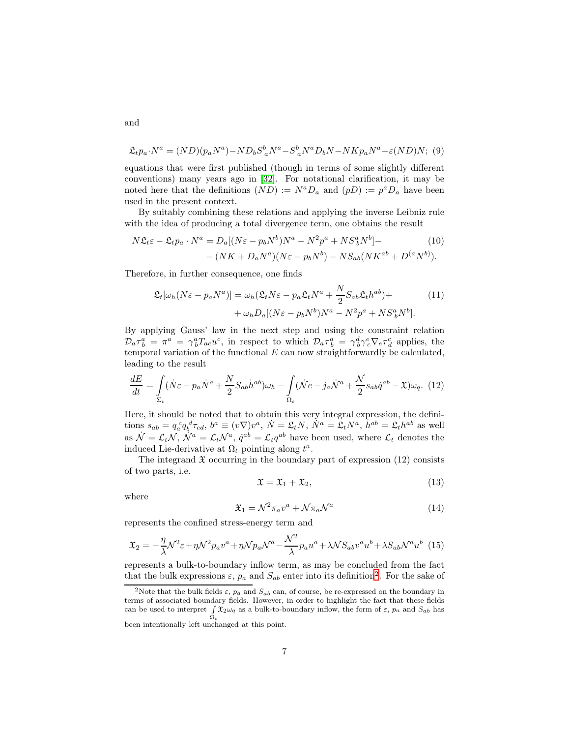$$
\mathfrak{L}_{t}p_{a} \cdot N^{a} = (ND)(p_{a}N^{a}) - ND_{b}S_{a}^{b}N^{a} - S_{a}^{b}N^{a}D_{b}N - NK p_{a}N^{a} - \varepsilon (ND)N; (9)
$$

equations that were first published (though in terms of some slightly different conventions) many years ago in [\[32\]](#page-19-3). For notational clarification, it may be noted here that the definitions  $(ND) := N^a D_a$  and  $(pD) := p^a D_a$  have been used in the present context.

By suitably combining these relations and applying the inverse Leibniz rule with the idea of producing a total divergence term, one obtains the result

$$
N\mathfrak{L}_t \varepsilon - \mathfrak{L}_t p_a \cdot N^a = D_a[(N\varepsilon - p_b N^b)N^a - N^2 p^a + N S^a{}_b N^b] - (NK + D_a N^a)(N\varepsilon - p_b N^b) - N S_{ab}(NK^{ab} + D^{(a} N^{b})).
$$
 (10)

Therefore, in further consequence, one finds

$$
\mathfrak{L}_{t}[\omega_{h}(N\varepsilon - p_{a}N^{a})] = \omega_{h}(\mathfrak{L}_{t}N\varepsilon - p_{a}\mathfrak{L}_{t}N^{a} + \frac{N}{2}S_{ab}\mathfrak{L}_{t}h^{ab}) + + \omega_{h}D_{a}[(N\varepsilon - p_{b}N^{b})N^{a} - N^{2}p^{a} + NS_{b}^{a}N^{b}].
$$
\n(11)

By applying Gauss' law in the next step and using the constraint relation  $\mathcal{D}_a \tau_b^a = \pi^a = \gamma_b^a T_{ac} u^c$ , in respect to which  $\mathcal{D}_a \tau_b^a = \gamma_b^d \gamma_c^e \nabla_e \tau_d^c$  applies, the temporal variation of the functional  $E$  can now straightforwardly be calculated, leading to the result

$$
\frac{dE}{dt} = \int\limits_{\Sigma_t} (\dot{N}\varepsilon - p_a \dot{N}^a + \frac{N}{2} S_{ab} \dot{h}^{ab}) \omega_h - \int\limits_{\Omega_t} (\dot{N}e - j_a \dot{N}^a + \frac{N}{2} s_{ab} \dot{q}^{ab} - \mathfrak{X}) \omega_q. (12)
$$

Here, it should be noted that to obtain this very integral expression, the definitions  $s_{ab} = q_a^c q_b^d \tau_{cd}$ ,  $b^a \equiv (v \nabla) v^a$ ,  $N = \mathfrak{L}_t N$ ,  $N^a = \mathfrak{L}_t N^a$ ,  $\dot{h}^{ab} = \mathfrak{L}_t h^{ab}$  as well as  $\dot{N} = \mathcal{L}_t \mathcal{N}, \dot{N}^a = \mathcal{L}_t \mathcal{N}^a, \dot{q}^{ab} = \mathcal{L}_t q^{ab}$  have been used, where  $\mathcal{L}_t$  denotes the induced Lie-derivative at  $\Omega_t$  pointing along  $t^a$ .

The integrand  $\mathfrak X$  occurring in the boundary part of expression (12) consists of two parts, i.e.

$$
\mathfrak{X} = \mathfrak{X}_1 + \mathfrak{X}_2,\tag{13}
$$

where

$$
\mathfrak{X}_1 = \mathcal{N}^2 \pi_a v^a + \mathcal{N} \pi_a \mathcal{N}^a \tag{14}
$$

represents the confined stress-energy term and

$$
\mathfrak{X}_2 = -\frac{\eta}{\lambda} \mathcal{N}^2 \varepsilon + \eta \mathcal{N}^2 p_a v^a + \eta \mathcal{N} p_a \mathcal{N}^a - \frac{\mathcal{N}^2}{\lambda} p_a u^a + \lambda \mathcal{N} S_{ab} v^a u^b + \lambda S_{ab} \mathcal{N}^a u^b
$$
 (15)

represents a bulk-to-boundary inflow term, as may be concluded from the fact that the bulk expressions  $\varepsilon$ ,  $p_a$  and  $S_{ab}$  enter into its definition<sup>[2](#page-6-0)</sup>. For the sake of

and

<span id="page-6-0"></span><sup>&</sup>lt;sup>2</sup>Note that the bulk fields  $\varepsilon$ ,  $p_a$  and  $S_{ab}$  can, of course, be re-expressed on the boundary in terms of associated boundary fields. However, in order to highlight the fact that these fields can be used to interpret  $\int$  $\int \mathfrak{X}_2 \omega_q$  as a bulk-to-boundary inflow, the form of  $\varepsilon$ ,  $p_a$  and  $S_{ab}$  has  $\Omega_t$ been intentionally left unchanged at this point.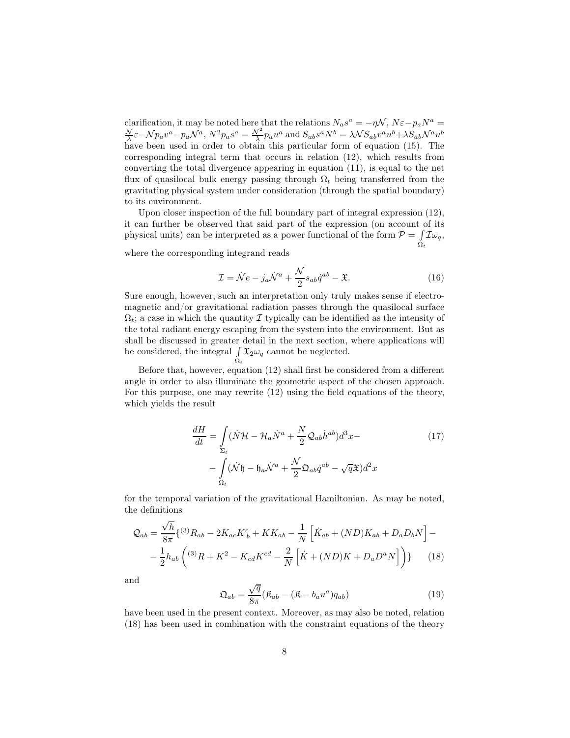clarification, it may be noted here that the relations  $N_a s^a = -\eta \mathcal{N}, N \varepsilon - p_a N^a =$  $\frac{\partial \mathcal{N}}{\partial \lambda} \varepsilon - \mathcal{N} p_a v^a - p_a \mathcal{N}^a, N^2 p_a s^a = \frac{\mathcal{N}^2}{\lambda} p_a u^a$  and  $S_{ab} s^a N^b = \lambda \mathcal{N} S_{ab} v^a u^b + \lambda S_{ab} \mathcal{N}^a u^b$ have been used in order to obtain this particular form of equation  $(15)$ . The corresponding integral term that occurs in relation (12), which results from converting the total divergence appearing in equation (11), is equal to the net flux of quasilocal bulk energy passing through  $\Omega_t$  being transferred from the gravitating physical system under consideration (through the spatial boundary) to its environment.

Upon closer inspection of the full boundary part of integral expression  $(12)$ , it can further be observed that said part of the expression (on account of its physical units) can be interpreted as a power functional of the form  $P = \int$  $\int\limits_{\Omega_t}\! \mathcal{I}\omega_q,$ 

where the corresponding integrand reads

$$
\mathcal{I} = \dot{\mathcal{N}}e - j_a \dot{\mathcal{N}}^a + \frac{\mathcal{N}}{2} s_{ab} \dot{q}^{ab} - \mathfrak{X}.
$$
 (16)

Sure enough, however, such an interpretation only truly makes sense if electromagnetic and/or gravitational radiation passes through the quasilocal surface  $\Omega_t$ ; a case in which the quantity I typically can be identified as the intensity of the total radiant energy escaping from the system into the environment. But as shall be discussed in greater detail in the next section, where applications will be considered, the integral  $\int \mathfrak{X}_2 \omega_q$  cannot be neglected.

 $\Omega_t$ Before that, however, equation (12) shall first be considered from a different angle in order to also illuminate the geometric aspect of the chosen approach. For this purpose, one may rewrite (12) using the field equations of the theory, which yields the result

$$
\frac{dH}{dt} = \int_{\Sigma_t} (\dot{N}\mathcal{H} - \mathcal{H}_a \dot{N}^a + \frac{N}{2} \mathcal{Q}_{ab} \dot{h}^{ab}) d^3 x -
$$
\n
$$
- \int_{\Omega_t} (\dot{N}\mathfrak{h} - \mathfrak{h}_a \dot{N}^a + \frac{N}{2} \mathfrak{Q}_{ab} \dot{q}^{ab} - \sqrt{q} \mathfrak{X}) d^2 x
$$
\n(17)

for the temporal variation of the gravitational Hamiltonian. As may be noted, the definitions

$$
Q_{ab} = \frac{\sqrt{h}}{8\pi} \{^{(3)}R_{ab} - 2K_{ac}K_b^c + KK_{ab} - \frac{1}{N} \left[ \dot{K}_{ab} + (ND)K_{ab} + D_a D_b N \right] - - \frac{1}{2}h_{ab} \left( ^{(3)}R + K^2 - K_{cd}K^{cd} - \frac{2}{N} \left[ \dot{K} + (ND)K + D_a D^a N \right] \right) \} \tag{18}
$$

and

$$
\mathfrak{Q}_{ab} = \frac{\sqrt{q}}{8\pi} (\mathfrak{K}_{ab} - (\mathfrak{K} - b_a u^a) q_{ab})
$$
\n(19)

have been used in the present context. Moreover, as may also be noted, relation (18) has been used in combination with the constraint equations of the theory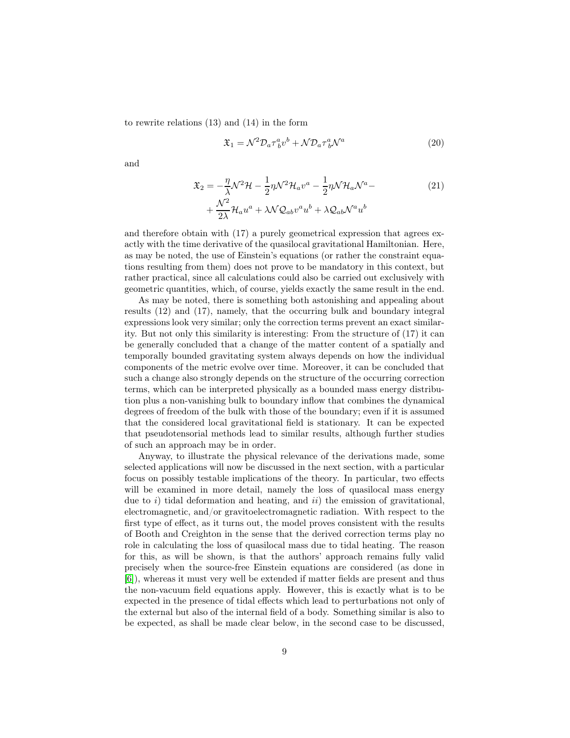to rewrite relations (13) and (14) in the form

$$
\mathfrak{X}_1 = \mathcal{N}^2 \mathcal{D}_a \tau^a_{\ b} v^b + \mathcal{N} \mathcal{D}_a \tau^a_{\ b} \mathcal{N}^a \tag{20}
$$

and

$$
\mathfrak{X}_2 = -\frac{\eta}{\lambda} \mathcal{N}^2 \mathcal{H} - \frac{1}{2} \eta \mathcal{N}^2 \mathcal{H}_a v^a - \frac{1}{2} \eta \mathcal{N} \mathcal{H}_a \mathcal{N}^a -
$$
\n
$$
+ \frac{\mathcal{N}^2}{2\lambda} \mathcal{H}_a u^a + \lambda \mathcal{N} \mathcal{Q}_{ab} v^a u^b + \lambda \mathcal{Q}_{ab} \mathcal{N}^a u^b
$$
\n(21)

and therefore obtain with (17) a purely geometrical expression that agrees exactly with the time derivative of the quasilocal gravitational Hamiltonian. Here, as may be noted, the use of Einstein's equations (or rather the constraint equations resulting from them) does not prove to be mandatory in this context, but rather practical, since all calculations could also be carried out exclusively with geometric quantities, which, of course, yields exactly the same result in the end.

As may be noted, there is something both astonishing and appealing about results (12) and (17), namely, that the occurring bulk and boundary integral expressions look very similar; only the correction terms prevent an exact similarity. But not only this similarity is interesting: From the structure of (17) it can be generally concluded that a change of the matter content of a spatially and temporally bounded gravitating system always depends on how the individual components of the metric evolve over time. Moreover, it can be concluded that such a change also strongly depends on the structure of the occurring correction terms, which can be interpreted physically as a bounded mass energy distribution plus a non-vanishing bulk to boundary inflow that combines the dynamical degrees of freedom of the bulk with those of the boundary; even if it is assumed that the considered local gravitational field is stationary. It can be expected that pseudotensorial methods lead to similar results, although further studies of such an approach may be in order.

Anyway, to illustrate the physical relevance of the derivations made, some selected applications will now be discussed in the next section, with a particular focus on possibly testable implications of the theory. In particular, two effects will be examined in more detail, namely the loss of quasilocal mass energy due to i) tidal deformation and heating, and ii) the emission of gravitational, electromagnetic, and/or gravitoelectromagnetic radiation. With respect to the first type of effect, as it turns out, the model proves consistent with the results of Booth and Creighton in the sense that the derived correction terms play no role in calculating the loss of quasilocal mass due to tidal heating. The reason for this, as will be shown, is that the authors' approach remains fully valid precisely when the source-free Einstein equations are considered (as done in [\[6\]](#page-17-0)), whereas it must very well be extended if matter fields are present and thus the non-vacuum field equations apply. However, this is exactly what is to be expected in the presence of tidal effects which lead to perturbations not only of the external but also of the internal field of a body. Something similar is also to be expected, as shall be made clear below, in the second case to be discussed,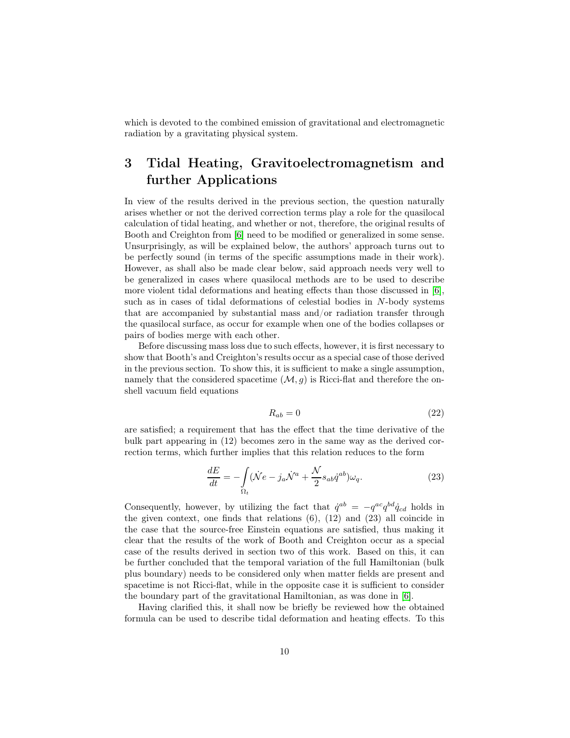which is devoted to the combined emission of gravitational and electromagnetic radiation by a gravitating physical system.

## 3 Tidal Heating, Gravitoelectromagnetism and further Applications

In view of the results derived in the previous section, the question naturally arises whether or not the derived correction terms play a role for the quasilocal calculation of tidal heating, and whether or not, therefore, the original results of Booth and Creighton from [\[6\]](#page-17-0) need to be modified or generalized in some sense. Unsurprisingly, as will be explained below, the authors' approach turns out to be perfectly sound (in terms of the specific assumptions made in their work). However, as shall also be made clear below, said approach needs very well to be generalized in cases where quasilocal methods are to be used to describe more violent tidal deformations and heating effects than those discussed in [\[6\]](#page-17-0), such as in cases of tidal deformations of celestial bodies in N-body systems that are accompanied by substantial mass and/or radiation transfer through the quasilocal surface, as occur for example when one of the bodies collapses or pairs of bodies merge with each other.

Before discussing mass loss due to such effects, however, it is first necessary to show that Booth's and Creighton's results occur as a special case of those derived in the previous section. To show this, it is sufficient to make a single assumption, namely that the considered spacetime  $(\mathcal{M}, g)$  is Ricci-flat and therefore the onshell vacuum field equations

$$
R_{ab} = 0 \tag{22}
$$

are satisfied; a requirement that has the effect that the time derivative of the bulk part appearing in (12) becomes zero in the same way as the derived correction terms, which further implies that this relation reduces to the form

$$
\frac{dE}{dt} = -\int_{\Omega_t} (\dot{N}e - j_a \dot{N}^a + \frac{\mathcal{N}}{2} s_{ab} \dot{q}^{ab}) \omega_q.
$$
\n(23)

Consequently, however, by utilizing the fact that  $\dot{q}^{ab} = -q^{ac}q^{bd}\dot{q}_{cd}$  holds in the given context, one finds that relations (6), (12) and (23) all coincide in the case that the source-free Einstein equations are satisfied, thus making it clear that the results of the work of Booth and Creighton occur as a special case of the results derived in section two of this work. Based on this, it can be further concluded that the temporal variation of the full Hamiltonian (bulk plus boundary) needs to be considered only when matter fields are present and spacetime is not Ricci-flat, while in the opposite case it is sufficient to consider the boundary part of the gravitational Hamiltonian, as was done in [\[6\]](#page-17-0).

Having clarified this, it shall now be briefly be reviewed how the obtained formula can be used to describe tidal deformation and heating effects. To this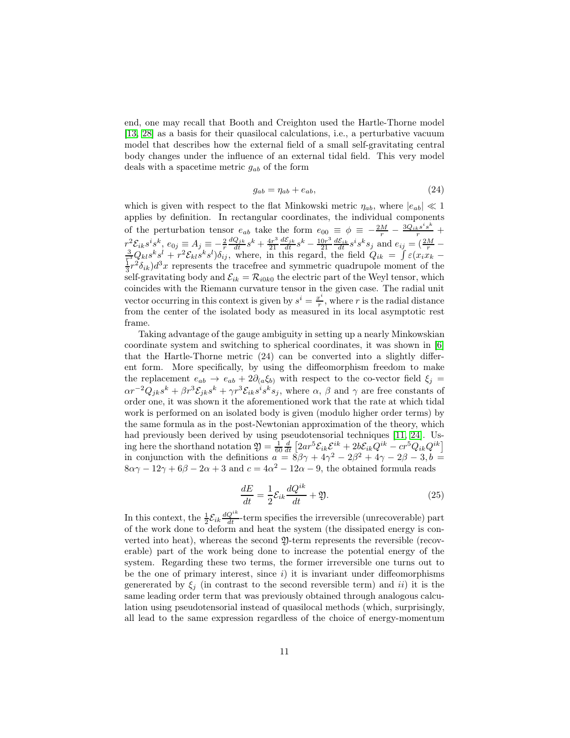end, one may recall that Booth and Creighton used the Hartle-Thorne model [\[13,](#page-18-4) [28\]](#page-19-0) as a basis for their quasilocal calculations, i.e., a perturbative vacuum model that describes how the external field of a small self-gravitating central body changes under the influence of an external tidal field. This very model deals with a spacetime metric  $g_{ab}$  of the form

$$
g_{ab} = \eta_{ab} + e_{ab},\tag{24}
$$

which is given with respect to the flat Minkowski metric  $\eta_{ab}$ , where  $|e_{ab}| \ll 1$ applies by definition. In rectangular coordinates, the individual components of the perturbation tensor  $e_{ab}$  take the form  $e_{00} \equiv \phi \equiv -\frac{2M}{r} - \frac{3Q_{ik}s^i s^k}{r}$  $r^2 \mathcal{E}_{ik} s^i s^k, e_{0j} \equiv A_j \equiv -\frac{2}{r} \frac{dQ_{jk}}{dt} s^k + \frac{4r^3}{21}$  $\frac{4r^3}{21} \frac{d\mathcal{E}_{jk}}{dt} s^k - \frac{10r^3}{21}$  $r^2 \mathcal{E}_{ik} s^i s^k$ ,  $e_{0j} \equiv A_j \equiv -\frac{2}{r} \frac{dQ_{jk}}{dt} s^k + \frac{4r^3}{21} \frac{d\mathcal{E}_{jk}}{dt} s^k - \frac{10r^3}{21} \frac{d\mathcal{E}_{ik}}{dt} s^i s^k s_j$  and  $e_{ij} = \left(\frac{2M}{r} - \frac{3}{12} Q_{kl} s^k s^l + r^2 \mathcal{E}_{kl} s^k s^l\right) \delta_{ij}$ , where, in this regard, the fie self-gravitating body and  $\mathcal{E}_{ik} = \mathcal{R}_{i0k0}$  the electric part of the Weyl tensor, which coincides with the Riemann curvature tensor in the given case. The radial unit vector occurring in this context is given by  $s^i = \frac{x^i}{r}$  $\frac{r}{r}$ , where r is the radial distance from the center of the isolated body as measured in its local asymptotic rest frame.

Taking advantage of the gauge ambiguity in setting up a nearly Minkowskian coordinate system and switching to spherical coordinates, it was shown in [\[6\]](#page-17-0) that the Hartle-Thorne metric (24) can be converted into a slightly different form. More specifically, by using the diffeomorphism freedom to make the replacement  $e_{ab} \rightarrow e_{ab} + 2\partial_{(a}\xi_{b)}$  with respect to the co-vector field  $\xi_j =$  $\alpha r^{-2}Q_{jk}s^k + \beta r^3 \mathcal{E}_{jk}s^k + \gamma r^3 \mathcal{E}_{ik}s^i s^k s_j$ , where  $\alpha$ ,  $\beta$  and  $\gamma$  are free constants of order one, it was shown it the aforementioned work that the rate at which tidal work is performed on an isolated body is given (modulo higher order terms) by the same formula as in the post-Newtonian approximation of the theory, which had previously been derived by using pseudotensorial techniques [\[11,](#page-17-1) [24\]](#page-18-0). Using here the shorthand notation  $\mathfrak{Y} = \frac{1}{60} \frac{d}{dt} \left[ 2ar^5 \mathcal{E}_{ik} \mathcal{E}^{ik} + 2b \mathcal{E}_{ik} Q^{ik} - cr^5 Q_{ik} Q^{ik} \right]$ in conjunction with the definitions  $a = 8\beta\gamma + 4\gamma^2 - 2\beta^2 + 4\gamma - 2\beta - 3, b =$  $8\alpha\gamma - 12\gamma + 6\beta - 2\alpha + 3$  and  $c = 4\alpha^2 - 12\alpha - 9$ , the obtained formula reads

$$
\frac{dE}{dt} = \frac{1}{2} \mathcal{E}_{ik} \frac{dQ^{ik}}{dt} + \mathfrak{Y}.
$$
\n(25)

In this context, the  $\frac{1}{2} \mathcal{E}_{ik} \frac{dQ^{ik}}{dt}$ -term specifies the irreversible (unrecoverable) part of the work done to deform and heat the system (the dissipated energy is converted into heat), whereas the second Y-term represents the reversible (recoverable) part of the work being done to increase the potential energy of the system. Regarding these two terms, the former irreversible one turns out to be the one of primary interest, since  $i$ ) it is invariant under diffeomorphisms genererated by  $\xi_j$  (in contrast to the second reversible term) and ii) it is the same leading order term that was previously obtained through analogous calculation using pseudotensorial instead of quasilocal methods (which, surprisingly, all lead to the same expression regardless of the choice of energy-momentum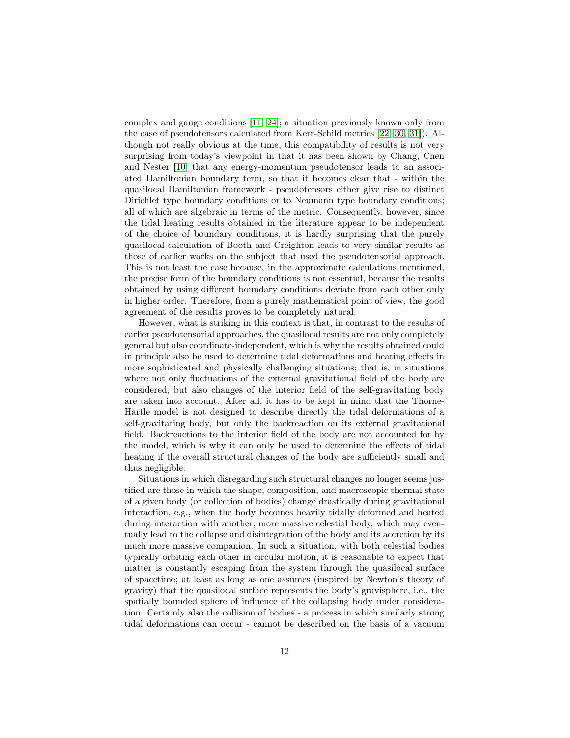complex and gauge conditions [\[11,](#page-17-1) [24\]](#page-18-0); a situation previously known only from the case of pseudotensors calculated from Kerr-Schild metrics [\[22,](#page-18-5) [30,](#page-19-4) [31\]](#page-19-5)). Although not really obvious at the time, this compatibility of results is not very surprising from today's viewpoint in that it has been shown by Chang, Chen and Nester [\[10\]](#page-17-7) that any energy-momentum pseudotensor leads to an associated Hamiltonian boundary term, so that it becomes clear that - within the quasilocal Hamiltonian framework - pseudotensors either give rise to distinct Dirichlet type boundary conditions or to Neumann type boundary conditions; all of which are algebraic in terms of the metric. Consequently, however, since the tidal heating results obtained in the literature appear to be independent of the choice of boundary conditions, it is hardly surprising that the purely quasilocal calculation of Booth and Creighton leads to very similar results as those of earlier works on the subject that used the pseudotensorial approach. This is not least the case because, in the approximate calculations mentioned, the precise form of the boundary conditions is not essential, because the results obtained by using different boundary conditions deviate from each other only in higher order. Therefore, from a purely mathematical point of view, the good agreement of the results proves to be completely natural.

However, what is striking in this context is that, in contrast to the results of earlier pseudotensorial approaches, the quasilocal results are not only completely general but also coordinate-independent, which is why the results obtained could in principle also be used to determine tidal deformations and heating effects in more sophisticated and physically challenging situations; that is, in situations where not only fluctuations of the external gravitational field of the body are considered, but also changes of the interior field of the self-gravitating body are taken into account. After all, it has to be kept in mind that the Thorne-Hartle model is not designed to describe directly the tidal deformations of a self-gravitating body, but only the backreaction on its external gravitational field. Backreactions to the interior field of the body are not accounted for by the model, which is why it can only be used to determine the effects of tidal heating if the overall structural changes of the body are sufficiently small and thus negligible.

Situations in which disregarding such structural changes no longer seems justified are those in which the shape, composition, and macroscopic thermal state of a given body (or collection of bodies) change drastically during gravitational interaction, e.g., when the body becomes heavily tidally deformed and heated during interaction with another, more massive celestial body, which may eventually lead to the collapse and disintegration of the body and its accretion by its much more massive companion. In such a situation, with both celestial bodies typically orbiting each other in circular motion, it is reasonable to expect that matter is constantly escaping from the system through the quasilocal surface of spacetime; at least as long as one assumes (inspired by Newton's theory of gravity) that the quasilocal surface represents the body's gravisphere, i.e., the spatially bounded sphere of influence of the collapsing body under consideration. Certainly also the collision of bodies - a process in which similarly strong tidal deformations can occur - cannot be described on the basis of a vacuum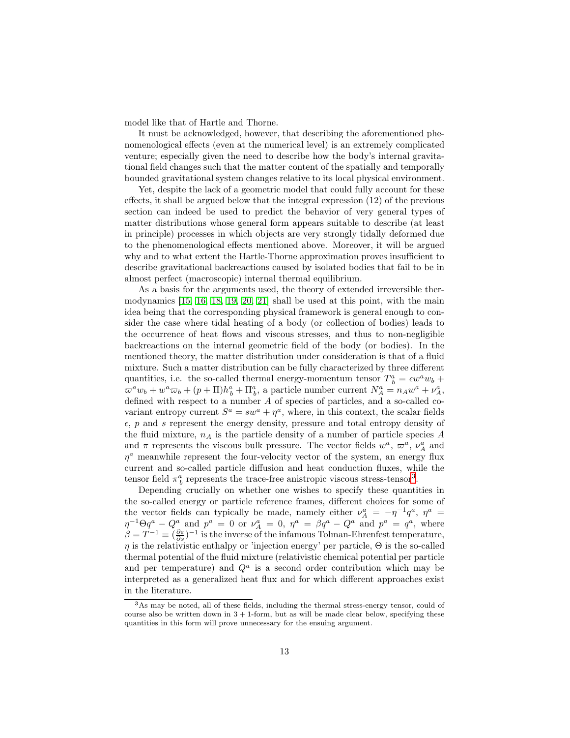model like that of Hartle and Thorne.

It must be acknowledged, however, that describing the aforementioned phenomenological effects (even at the numerical level) is an extremely complicated venture; especially given the need to describe how the body's internal gravitational field changes such that the matter content of the spatially and temporally bounded gravitational system changes relative to its local physical environment.

Yet, despite the lack of a geometric model that could fully account for these effects, it shall be argued below that the integral expression (12) of the previous section can indeed be used to predict the behavior of very general types of matter distributions whose general form appears suitable to describe (at least in principle) processes in which objects are very strongly tidally deformed due to the phenomenological effects mentioned above. Moreover, it will be argued why and to what extent the Hartle-Thorne approximation proves insufficient to describe gravitational backreactions caused by isolated bodies that fail to be in almost perfect (macroscopic) internal thermal equilibrium.

As a basis for the arguments used, the theory of extended irreversible thermodynamics [\[15,](#page-18-6) [16,](#page-18-7) [18,](#page-18-8) [19,](#page-18-9) [20,](#page-18-10) [21\]](#page-18-11) shall be used at this point, with the main idea being that the corresponding physical framework is general enough to consider the case where tidal heating of a body (or collection of bodies) leads to the occurrence of heat flows and viscous stresses, and thus to non-negligible backreactions on the internal geometric field of the body (or bodies). In the mentioned theory, the matter distribution under consideration is that of a fluid mixture. Such a matter distribution can be fully characterized by three different quantities, i.e. the so-called thermal energy-momentum tensor  $T^a_{\;b} = \epsilon w^a w_b +$  $\varpi^a w_b + w^a \varpi_b + (p+ \Pi) h^a_b + \Pi^a_b$ , a particle number current  $N^a_A = n_A w^a + \nu^a_A$ , defined with respect to a number A of species of particles, and a so-called covariant entropy current  $S^a = sw^a + \eta^a$ , where, in this context, the scalar fields  $\epsilon$ , p and s represent the energy density, pressure and total entropy density of the fluid mixture,  $n_A$  is the particle density of a number of particle species  $A$ and  $\pi$  represents the viscous bulk pressure. The vector fields  $w^a$ ,  $\varpi^a$ ,  $\nu^a$  and  $\eta^a$  meanwhile represent the four-velocity vector of the system, an energy flux current and so-called particle diffusion and heat conduction fluxes, while the tensor field  $\pi_b^a$  represents the trace-free anistropic viscous stress-tensor<sup>[3](#page-12-0)</sup>.

Depending crucially on whether one wishes to specify these quantities in the so-called energy or particle reference frames, different choices for some of the vector fields can typically be made, namely either  $\nu_A^a = -\eta^{-1}q^a$ ,  $\eta^a =$  $\eta^{-1}\Theta q^a - Q^a$  and  $p^a = 0$  or  $\nu_A^a = 0$ ,  $\eta^a = \beta q^a - Q^a$  and  $p^a = q^a$ , where  $\beta = T^{-1} \equiv (\frac{\partial \varepsilon}{\partial s})^{-1}$  is the inverse of the infamous Tolman-Ehrenfest temperature,  $\eta$  is the relativistic enthalpy or 'injection energy' per particle,  $\Theta$  is the so-called thermal potential of the fluid mixture (relativistic chemical potential per particle and per temperature) and  $Q^a$  is a second order contribution which may be interpreted as a generalized heat flux and for which different approaches exist in the literature.

<span id="page-12-0"></span> $3$ As may be noted, all of these fields, including the thermal stress-energy tensor, could of course also be written down in  $3 + 1$ -form, but as will be made clear below, specifying these quantities in this form will prove unnecessary for the ensuing argument.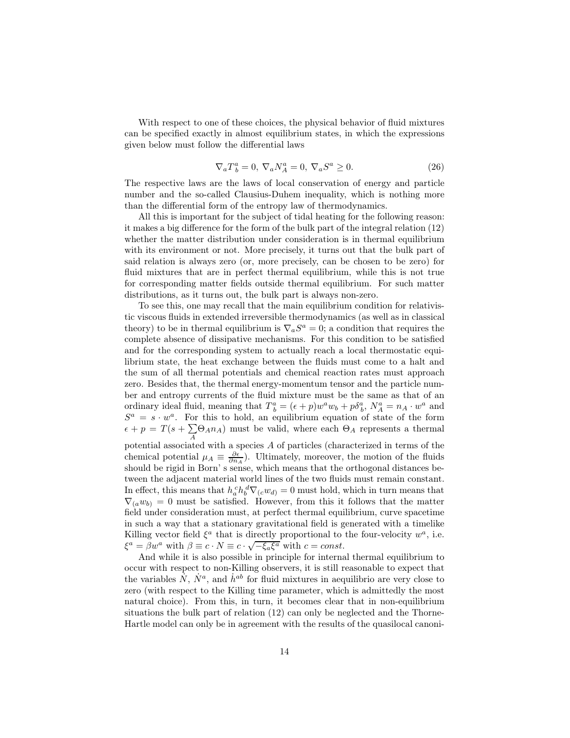With respect to one of these choices, the physical behavior of fluid mixtures can be specified exactly in almost equilibrium states, in which the expressions given below must follow the differential laws

$$
\nabla_a T^a_b = 0, \ \nabla_a N^a_A = 0, \ \nabla_a S^a \ge 0. \tag{26}
$$

The respective laws are the laws of local conservation of energy and particle number and the so-called Clausius-Duhem inequality, which is nothing more than the differential form of the entropy law of thermodynamics.

All this is important for the subject of tidal heating for the following reason: it makes a big difference for the form of the bulk part of the integral relation (12) whether the matter distribution under consideration is in thermal equilibrium with its environment or not. More precisely, it turns out that the bulk part of said relation is always zero (or, more precisely, can be chosen to be zero) for fluid mixtures that are in perfect thermal equilibrium, while this is not true for corresponding matter fields outside thermal equilibrium. For such matter distributions, as it turns out, the bulk part is always non-zero.

To see this, one may recall that the main equilibrium condition for relativistic viscous fluids in extended irreversible thermodynamics (as well as in classical theory) to be in thermal equilibrium is  $\nabla_a S^a = 0$ ; a condition that requires the complete absence of dissipative mechanisms. For this condition to be satisfied and for the corresponding system to actually reach a local thermostatic equilibrium state, the heat exchange between the fluids must come to a halt and the sum of all thermal potentials and chemical reaction rates must approach zero. Besides that, the thermal energy-momentum tensor and the particle number and entropy currents of the fluid mixture must be the same as that of an ordinary ideal fluid, meaning that  $T^a_b = (\epsilon + p)w^a w_b + p\delta^a_b$ ,  $N^a_A = n_A \cdot w^a$  and  $S^a = s \cdot w^a$ . For this to hold, an equilibrium equation of state of the form  $\epsilon + p = T(s + \sum \Theta_A n_A)$  must be valid, where each  $\Theta_A$  represents a thermal A potential associated with a species A of particles (characterized in terms of the

chemical potential  $\mu_A \equiv \frac{\partial \epsilon}{\partial n_A}$ . Ultimately, moreover, the motion of the fluids should be rigid in Born' s sense, which means that the orthogonal distances between the adjacent material world lines of the two fluids must remain constant. In effect, this means that  $h_a^c h_b^d \nabla_{(c} w_{d)} = 0$  must hold, which in turn means that  $\nabla_{(a}w_{b)}=0$  must be satisfied. However, from this it follows that the matter field under consideration must, at perfect thermal equilibrium, curve spacetime in such a way that a stationary gravitational field is generated with a timelike Killing vector field  $\xi^a$  that is directly proportional to the four-velocity  $w^a$ , i.e.  $\xi^a = \beta w^a$  with  $\beta \equiv c \cdot N \equiv c \cdot \sqrt{-\xi_a \xi^a}$  with  $c = const$ .

And while it is also possible in principle for internal thermal equilibrium to occur with respect to non-Killing observers, it is still reasonable to expect that the variables  $\dot{N}$ ,  $\dot{N}^a$ , and  $\dot{h}^{ab}$  for fluid mixtures in aequilibrio are very close to zero (with respect to the Killing time parameter, which is admittedly the most natural choice). From this, in turn, it becomes clear that in non-equilibrium situations the bulk part of relation (12) can only be neglected and the Thorne-Hartle model can only be in agreement with the results of the quasilocal canoni-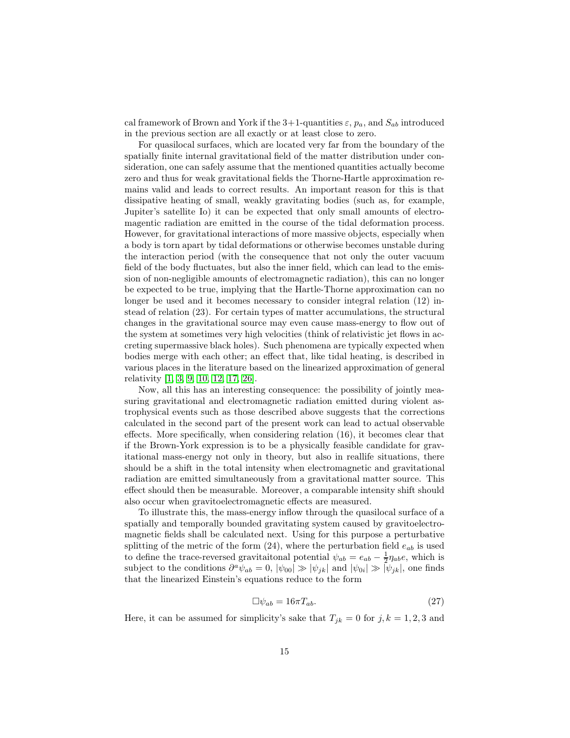cal framework of Brown and York if the 3+1-quantities  $\varepsilon$ ,  $p_a$ , and  $S_{ab}$  introduced in the previous section are all exactly or at least close to zero.

For quasilocal surfaces, which are located very far from the boundary of the spatially finite internal gravitational field of the matter distribution under consideration, one can safely assume that the mentioned quantities actually become zero and thus for weak gravitational fields the Thorne-Hartle approximation remains valid and leads to correct results. An important reason for this is that dissipative heating of small, weakly gravitating bodies (such as, for example, Jupiter's satellite Io) it can be expected that only small amounts of electromagentic radiation are emitted in the course of the tidal deformation process. However, for gravitational interactions of more massive objects, especially when a body is torn apart by tidal deformations or otherwise becomes unstable during the interaction period (with the consequence that not only the outer vacuum field of the body fluctuates, but also the inner field, which can lead to the emission of non-negligible amounts of electromagnetic radiation), this can no longer be expected to be true, implying that the Hartle-Thorne approximation can no longer be used and it becomes necessary to consider integral relation (12) instead of relation (23). For certain types of matter accumulations, the structural changes in the gravitational source may even cause mass-energy to flow out of the system at sometimes very high velocities (think of relativistic jet flows in accreting supermassive black holes). Such phenomena are typically expected when bodies merge with each other; an effect that, like tidal heating, is described in various places in the literature based on the linearized approximation of general relativity [\[1,](#page-17-8) [3,](#page-17-9) [9,](#page-17-10) [10,](#page-17-7) [12,](#page-18-12) [17,](#page-18-13) [26\]](#page-18-14).

Now, all this has an interesting consequence: the possibility of jointly measuring gravitational and electromagnetic radiation emitted during violent astrophysical events such as those described above suggests that the corrections calculated in the second part of the present work can lead to actual observable effects. More specifically, when considering relation (16), it becomes clear that if the Brown-York expression is to be a physically feasible candidate for gravitational mass-energy not only in theory, but also in reallife situations, there should be a shift in the total intensity when electromagnetic and gravitational radiation are emitted simultaneously from a gravitational matter source. This effect should then be measurable. Moreover, a comparable intensity shift should also occur when gravitoelectromagnetic effects are measured.

To illustrate this, the mass-energy inflow through the quasilocal surface of a spatially and temporally bounded gravitating system caused by gravitoelectromagnetic fields shall be calculated next. Using for this purpose a perturbative splitting of the metric of the form  $(24)$ , where the perturbation field  $e_{ab}$  is used to define the trace-reversed gravitaitonal potential  $\psi_{ab} = e_{ab} - \frac{1}{2} \eta_{ab} e$ , which is subject to the conditions  $\partial^a \psi_{ab} = 0$ ,  $|\psi_{00}| \gg |\psi_{jk}|$  and  $|\psi_{0i}| \gg |\psi_{jk}|$ , one finds that the linearized Einstein's equations reduce to the form

$$
\Box \psi_{ab} = 16\pi T_{ab}.\tag{27}
$$

Here, it can be assumed for simplicity's sake that  $T_{jk} = 0$  for  $j, k = 1, 2, 3$  and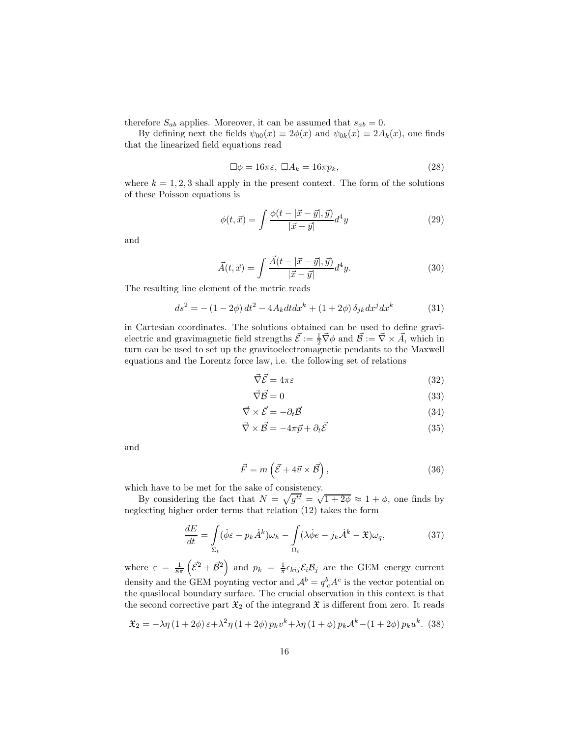therefore  $S_{ab}$  applies. Moreover, it can be assumed that  $s_{ab} = 0$ .

By defining next the fields  $\psi_{00}(x) \equiv 2\phi(x)$  and  $\psi_{0k}(x) \equiv 2A_k(x)$ , one finds that the linearized field equations read

$$
\Box \phi = 16\pi\varepsilon, \ \Box A_k = 16\pi p_k,\tag{28}
$$

where  $k = 1, 2, 3$  shall apply in the present context. The form of the solutions of these Poisson equations is

$$
\phi(t,\vec{x}) = \int \frac{\phi(t - |\vec{x} - \vec{y}|, \vec{y})}{|\vec{x} - \vec{y}|} d^4 y \tag{29}
$$

and

$$
\vec{A}(t,\vec{x}) = \int \frac{\vec{A}(t - |\vec{x} - \vec{y}|, \vec{y})}{|\vec{x} - \vec{y}|} d^4 y.
$$
\n(30)

The resulting line element of the metric reads

$$
ds^{2} = -(1 - 2\phi) dt^{2} - 4A_{k} dt dx^{k} + (1 + 2\phi) \delta_{jk} dx^{j} dx^{k}
$$
 (31)

in Cartesian coordinates. The solutions obtained can be used to define gravielectric and gravimagnetic field strengths  $\vec{\mathcal{E}} := \frac{1}{2}\vec{\nabla}\phi$  and  $\vec{\mathcal{B}} := \vec{\nabla} \times \vec{A}$ , which in turn can be used to set up the gravitoelectromagnetic pendants to the Maxwell equations and the Lorentz force law, i.e. the following set of relations

$$
\vec{\nabla}\vec{\mathcal{E}} = 4\pi\varepsilon\tag{32}
$$

$$
\vec{\nabla}\vec{\mathcal{B}} = 0\tag{33}
$$

$$
\vec{\nabla} \times \vec{\mathcal{E}} = -\partial_t \vec{\mathcal{B}} \tag{34}
$$

$$
\vec{\nabla} \times \vec{\mathcal{B}} = -4\pi \vec{p} + \partial_t \vec{\mathcal{E}} \tag{35}
$$

and

$$
\vec{F} = m\left(\vec{\mathcal{E}} + 4\vec{v} \times \vec{\mathcal{B}}\right),\tag{36}
$$

which have to be met for the sake of consistency.

By considering the fact that  $N = \sqrt{g^{tt}} = \sqrt{1 + 2\phi} \approx 1 + \phi$ , one finds by neglecting higher order terms that relation (12) takes the form

$$
\frac{dE}{dt} = \int_{\Sigma_t} (\dot{\phi}\varepsilon - p_k \dot{A}^k) \omega_h - \int_{\Omega_t} (\lambda \dot{\phi}e - j_k \dot{A}^k - \mathfrak{X}) \omega_q, \tag{37}
$$

where  $\varepsilon = \frac{1}{8\pi} \left( \vec{\mathcal{E}}^2 + \vec{\mathcal{B}}^2 \right)$  and  $p_k = \frac{1}{\pi} \epsilon_{kij} \mathcal{E}_i \mathcal{B}_j$  are the GEM energy current density and the GEM poynting vector and  $\mathcal{A}^b = q^b{}_c A^c$  is the vector potential on the quasilocal boundary surface. The crucial observation in this context is that the second corrective part  $\mathfrak{X}_2$  of the integrand  $\mathfrak{X}$  is different from zero. It reads

$$
\mathfrak{X}_2 = -\lambda \eta \left(1 + 2\phi\right) \varepsilon + \lambda^2 \eta \left(1 + 2\phi\right) p_k v^k + \lambda \eta \left(1 + \phi\right) p_k \mathcal{A}^k - \left(1 + 2\phi\right) p_k u^k. \tag{38}
$$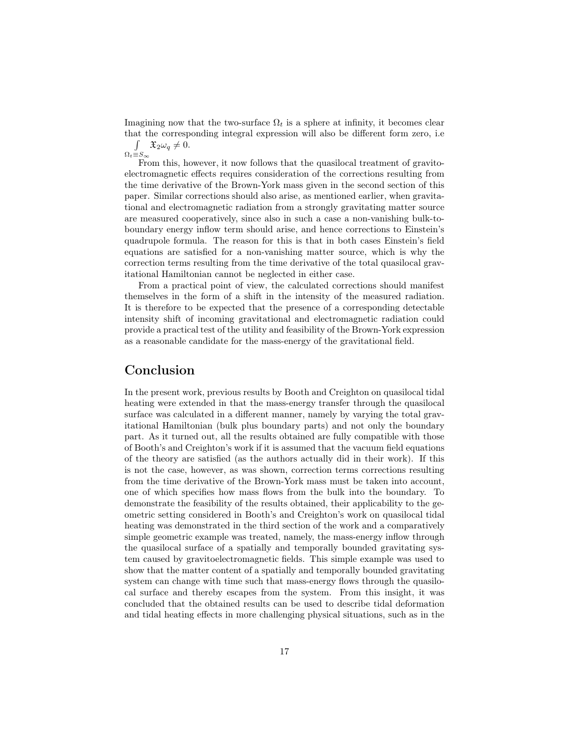Imagining now that the two-surface  $\Omega_t$  is a sphere at infinity, it becomes clear that the corresponding integral expression will also be different form zero, i.e R  $\int_{\Omega_t \equiv S_{\infty}} \mathfrak{X}_2 \omega_q \neq 0.$ 

From this, however, it now follows that the quasilocal treatment of gravitoelectromagnetic effects requires consideration of the corrections resulting from the time derivative of the Brown-York mass given in the second section of this paper. Similar corrections should also arise, as mentioned earlier, when gravitational and electromagnetic radiation from a strongly gravitating matter source are measured cooperatively, since also in such a case a non-vanishing bulk-toboundary energy inflow term should arise, and hence corrections to Einstein's quadrupole formula. The reason for this is that in both cases Einstein's field equations are satisfied for a non-vanishing matter source, which is why the correction terms resulting from the time derivative of the total quasilocal gravitational Hamiltonian cannot be neglected in either case.

From a practical point of view, the calculated corrections should manifest themselves in the form of a shift in the intensity of the measured radiation. It is therefore to be expected that the presence of a corresponding detectable intensity shift of incoming gravitational and electromagnetic radiation could provide a practical test of the utility and feasibility of the Brown-York expression as a reasonable candidate for the mass-energy of the gravitational field.

### Conclusion

In the present work, previous results by Booth and Creighton on quasilocal tidal heating were extended in that the mass-energy transfer through the quasilocal surface was calculated in a different manner, namely by varying the total gravitational Hamiltonian (bulk plus boundary parts) and not only the boundary part. As it turned out, all the results obtained are fully compatible with those of Booth's and Creighton's work if it is assumed that the vacuum field equations of the theory are satisfied (as the authors actually did in their work). If this is not the case, however, as was shown, correction terms corrections resulting from the time derivative of the Brown-York mass must be taken into account, one of which specifies how mass flows from the bulk into the boundary. To demonstrate the feasibility of the results obtained, their applicability to the geometric setting considered in Booth's and Creighton's work on quasilocal tidal heating was demonstrated in the third section of the work and a comparatively simple geometric example was treated, namely, the mass-energy inflow through the quasilocal surface of a spatially and temporally bounded gravitating system caused by gravitoelectromagnetic fields. This simple example was used to show that the matter content of a spatially and temporally bounded gravitating system can change with time such that mass-energy flows through the quasilocal surface and thereby escapes from the system. From this insight, it was concluded that the obtained results can be used to describe tidal deformation and tidal heating effects in more challenging physical situations, such as in the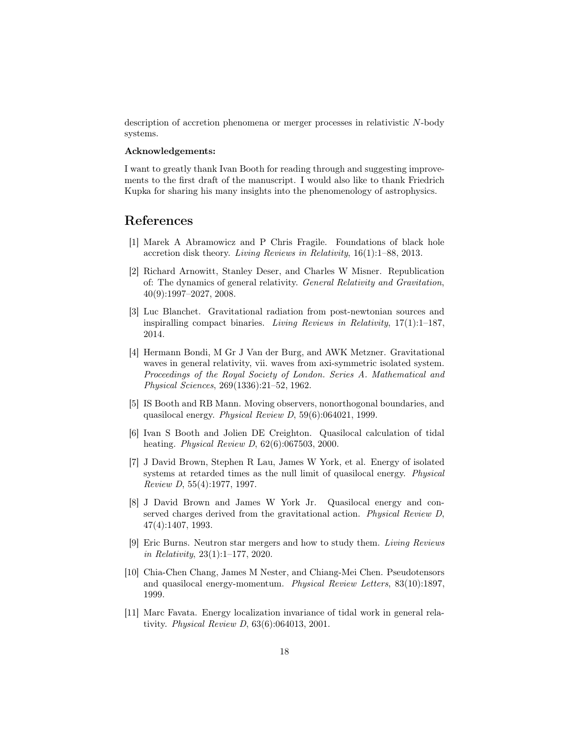description of accretion phenomena or merger processes in relativistic N-body systems.

#### Acknowledgements:

I want to greatly thank Ivan Booth for reading through and suggesting improvements to the first draft of the manuscript. I would also like to thank Friedrich Kupka for sharing his many insights into the phenomenology of astrophysics.

#### <span id="page-17-8"></span>References

- [1] Marek A Abramowicz and P Chris Fragile. Foundations of black hole accretion disk theory. Living Reviews in Relativity, 16(1):1–88, 2013.
- <span id="page-17-2"></span>[2] Richard Arnowitt, Stanley Deser, and Charles W Misner. Republication of: The dynamics of general relativity. General Relativity and Gravitation, 40(9):1997–2027, 2008.
- <span id="page-17-9"></span>[3] Luc Blanchet. Gravitational radiation from post-newtonian sources and inspiralling compact binaries. Living Reviews in Relativity, 17(1):1–187, 2014.
- <span id="page-17-4"></span>[4] Hermann Bondi, M Gr J Van der Burg, and AWK Metzner. Gravitational waves in general relativity, vii. waves from axi-symmetric isolated system. Proceedings of the Royal Society of London. Series A. Mathematical and Physical Sciences, 269(1336):21–52, 1962.
- <span id="page-17-6"></span>[5] IS Booth and RB Mann. Moving observers, nonorthogonal boundaries, and quasilocal energy. Physical Review D, 59(6):064021, 1999.
- <span id="page-17-0"></span>[6] Ivan S Booth and Jolien DE Creighton. Quasilocal calculation of tidal heating. Physical Review D, 62(6):067503, 2000.
- <span id="page-17-5"></span>[7] J David Brown, Stephen R Lau, James W York, et al. Energy of isolated systems at retarded times as the null limit of quasilocal energy. Physical Review D, 55(4):1977, 1997.
- <span id="page-17-3"></span>[8] J David Brown and James W York Jr. Quasilocal energy and conserved charges derived from the gravitational action. Physical Review D, 47(4):1407, 1993.
- <span id="page-17-10"></span>[9] Eric Burns. Neutron star mergers and how to study them. Living Reviews in Relativity, 23(1):1–177, 2020.
- <span id="page-17-7"></span>[10] Chia-Chen Chang, James M Nester, and Chiang-Mei Chen. Pseudotensors and quasilocal energy-momentum. Physical Review Letters, 83(10):1897, 1999.
- <span id="page-17-1"></span>[11] Marc Favata. Energy localization invariance of tidal work in general relativity. Physical Review D, 63(6):064013, 2001.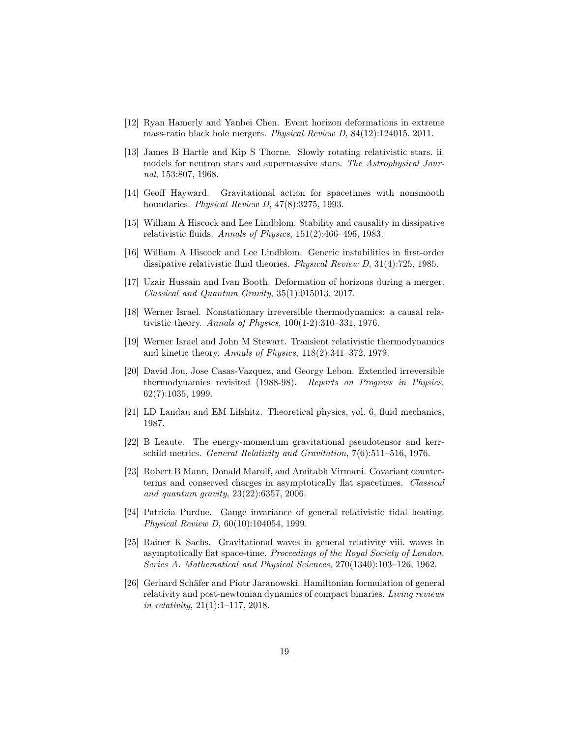- <span id="page-18-12"></span>[12] Ryan Hamerly and Yanbei Chen. Event horizon deformations in extreme mass-ratio black hole mergers. Physical Review D, 84(12):124015, 2011.
- <span id="page-18-4"></span>[13] James B Hartle and Kip S Thorne. Slowly rotating relativistic stars. ii. models for neutron stars and supermassive stars. The Astrophysical Journal, 153:807, 1968.
- <span id="page-18-3"></span>[14] Geoff Hayward. Gravitational action for spacetimes with nonsmooth boundaries. Physical Review D, 47(8):3275, 1993.
- <span id="page-18-7"></span><span id="page-18-6"></span>[15] William A Hiscock and Lee Lindblom. Stability and causality in dissipative relativistic fluids. Annals of Physics, 151(2):466–496, 1983.
- [16] William A Hiscock and Lee Lindblom. Generic instabilities in first-order dissipative relativistic fluid theories. Physical Review D, 31(4):725, 1985.
- <span id="page-18-13"></span>[17] Uzair Hussain and Ivan Booth. Deformation of horizons during a merger. Classical and Quantum Gravity, 35(1):015013, 2017.
- <span id="page-18-9"></span><span id="page-18-8"></span>[18] Werner Israel. Nonstationary irreversible thermodynamics: a causal relativistic theory. Annals of Physics, 100(1-2):310–331, 1976.
- [19] Werner Israel and John M Stewart. Transient relativistic thermodynamics and kinetic theory. Annals of Physics, 118(2):341–372, 1979.
- <span id="page-18-10"></span>[20] David Jou, Jose Casas-Vazquez, and Georgy Lebon. Extended irreversible thermodynamics revisited (1988-98). Reports on Progress in Physics, 62(7):1035, 1999.
- <span id="page-18-11"></span><span id="page-18-5"></span>[21] LD Landau and EM Lifshitz. Theoretical physics, vol. 6, fluid mechanics, 1987.
- [22] B Leaute. The energy-momentum gravitational pseudotensor and kerrschild metrics. General Relativity and Gravitation, 7(6):511–516, 1976.
- <span id="page-18-1"></span>[23] Robert B Mann, Donald Marolf, and Amitabh Virmani. Covariant counterterms and conserved charges in asymptotically flat spacetimes. Classical and quantum gravity, 23(22):6357, 2006.
- <span id="page-18-0"></span>[24] Patricia Purdue. Gauge invariance of general relativistic tidal heating. Physical Review D, 60(10):104054, 1999.
- <span id="page-18-2"></span>[25] Rainer K Sachs. Gravitational waves in general relativity viii. waves in asymptotically flat space-time. Proceedings of the Royal Society of London. Series A. Mathematical and Physical Sciences, 270(1340):103–126, 1962.
- <span id="page-18-14"></span>[26] Gerhard Schäfer and Piotr Jaranowski. Hamiltonian formulation of general relativity and post-newtonian dynamics of compact binaries. Living reviews in relativity,  $21(1):1-117$ ,  $2018$ .